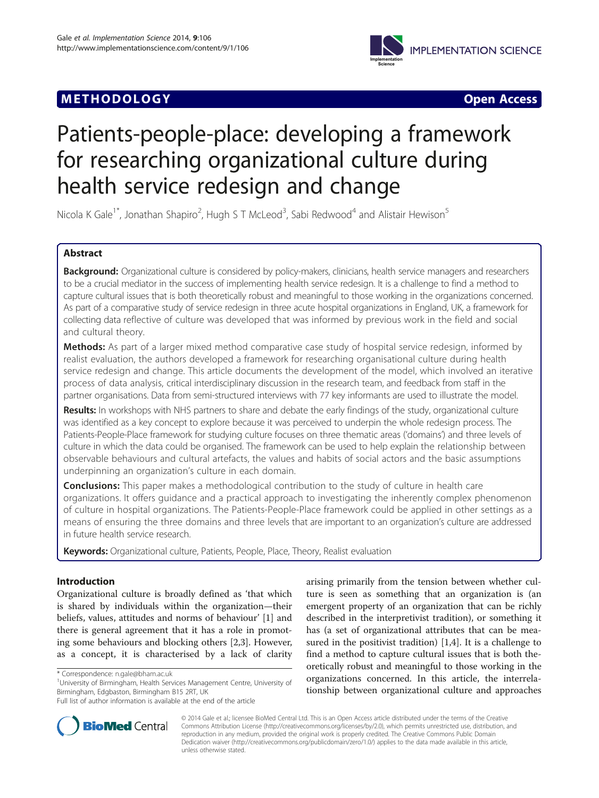# **METHODOLOGY CONSUMING ACCESS**



# Patients-people-place: developing a framework for researching organizational culture during health service redesign and change

Nicola K Gale<sup>1\*</sup>, Jonathan Shapiro<sup>2</sup>, Hugh S T McLeod<sup>3</sup>, Sabi Redwood<sup>4</sup> and Alistair Hewison<sup>5</sup>

# Abstract

Background: Organizational culture is considered by policy-makers, clinicians, health service managers and researchers to be a crucial mediator in the success of implementing health service redesign. It is a challenge to find a method to capture cultural issues that is both theoretically robust and meaningful to those working in the organizations concerned. As part of a comparative study of service redesign in three acute hospital organizations in England, UK, a framework for collecting data reflective of culture was developed that was informed by previous work in the field and social and cultural theory.

Methods: As part of a larger mixed method comparative case study of hospital service redesign, informed by realist evaluation, the authors developed a framework for researching organisational culture during health service redesign and change. This article documents the development of the model, which involved an iterative process of data analysis, critical interdisciplinary discussion in the research team, and feedback from staff in the partner organisations. Data from semi-structured interviews with 77 key informants are used to illustrate the model.

Results: In workshops with NHS partners to share and debate the early findings of the study, organizational culture was identified as a key concept to explore because it was perceived to underpin the whole redesign process. The Patients-People-Place framework for studying culture focuses on three thematic areas ('domains') and three levels of culture in which the data could be organised. The framework can be used to help explain the relationship between observable behaviours and cultural artefacts, the values and habits of social actors and the basic assumptions underpinning an organization's culture in each domain.

**Conclusions:** This paper makes a methodological contribution to the study of culture in health care organizations. It offers guidance and a practical approach to investigating the inherently complex phenomenon of culture in hospital organizations. The Patients-People-Place framework could be applied in other settings as a means of ensuring the three domains and three levels that are important to an organization's culture are addressed in future health service research.

Keywords: Organizational culture, Patients, People, Place, Theory, Realist evaluation

# Introduction

Organizational culture is broadly defined as 'that which is shared by individuals within the organization—their beliefs, values, attitudes and norms of behaviour' [\[1](#page-8-0)] and there is general agreement that it has a role in promoting some behaviours and blocking others [\[2,3](#page-9-0)]. However, as a concept, it is characterised by a lack of clarity

arising primarily from the tension between whether culture is seen as something that an organization is (an emergent property of an organization that can be richly described in the interpretivist tradition), or something it has (a set of organizational attributes that can be measured in the positivist tradition) [[1,](#page-8-0)[4\]](#page-9-0). It is a challenge to find a method to capture cultural issues that is both theoretically robust and meaningful to those working in the organizations concerned. In this article, the interrelationship between organizational culture and approaches



© 2014 Gale et al.; licensee BioMed Central Ltd. This is an Open Access article distributed under the terms of the Creative Commons Attribution License [\(http://creativecommons.org/licenses/by/2.0\)](http://creativecommons.org/licenses/by/2.0), which permits unrestricted use, distribution, and reproduction in any medium, provided the original work is properly credited. The Creative Commons Public Domain Dedication waiver [\(http://creativecommons.org/publicdomain/zero/1.0/](http://creativecommons.org/publicdomain/zero/1.0/)) applies to the data made available in this article, unless otherwise stated.

<sup>\*</sup> Correspondence: [n.gale@bham.ac.uk](mailto:n.gale@bham.ac.uk) <sup>1</sup>

<sup>&</sup>lt;sup>1</sup>University of Birmingham, Health Services Management Centre, University of Birmingham, Edgbaston, Birmingham B15 2RT, UK

Full list of author information is available at the end of the article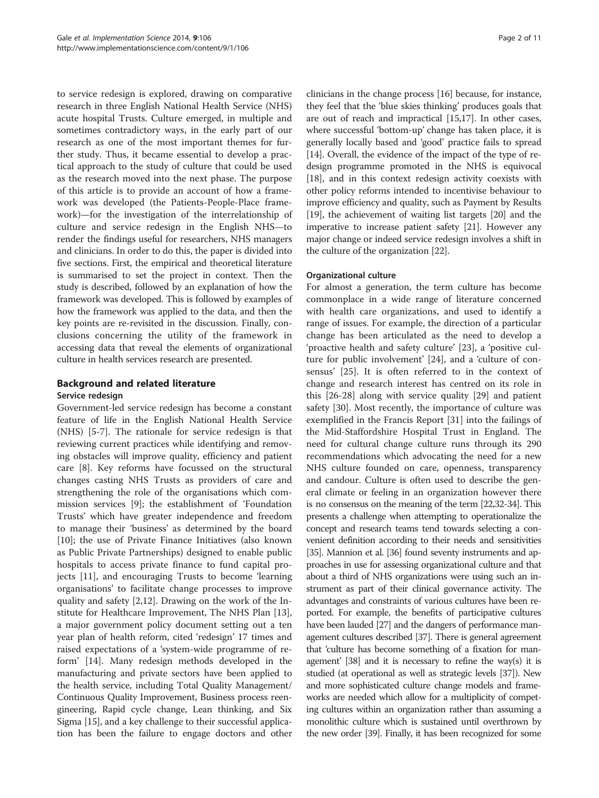<span id="page-1-0"></span>to service redesign is explored, drawing on comparative research in three English National Health Service (NHS) acute hospital Trusts. Culture emerged, in multiple and sometimes contradictory ways, in the early part of our research as one of the most important themes for further study. Thus, it became essential to develop a practical approach to the study of culture that could be used as the research moved into the next phase. The purpose of this article is to provide an account of how a framework was developed (the Patients-People-Place framework)—for the investigation of the interrelationship of culture and service redesign in the English NHS—to render the findings useful for researchers, NHS managers and clinicians. In order to do this, the paper is divided into five sections. First, the empirical and theoretical literature is summarised to set the project in context. Then the study is described, followed by an explanation of how the framework was developed. This is followed by examples of how the framework was applied to the data, and then the key points are re-revisited in the discussion. Finally, conclusions concerning the utility of the framework in accessing data that reveal the elements of organizational culture in health services research are presented.

# Background and related literature

## Service redesign

Government-led service redesign has become a constant feature of life in the English National Health Service (NHS) [[5-7](#page-9-0)]. The rationale for service redesign is that reviewing current practices while identifying and removing obstacles will improve quality, efficiency and patient care [[8\]](#page-9-0). Key reforms have focussed on the structural changes casting NHS Trusts as providers of care and strengthening the role of the organisations which commission services [\[9](#page-9-0)]; the establishment of 'Foundation Trusts' which have greater independence and freedom to manage their 'business' as determined by the board [[10\]](#page-9-0); the use of Private Finance Initiatives (also known as Public Private Partnerships) designed to enable public hospitals to access private finance to fund capital projects [[11](#page-9-0)], and encouraging Trusts to become 'learning organisations' to facilitate change processes to improve quality and safety [[2,12\]](#page-9-0). Drawing on the work of the Institute for Healthcare Improvement, The NHS Plan [\[13](#page-9-0)], a major government policy document setting out a ten year plan of health reform, cited 'redesign' 17 times and raised expectations of a 'system-wide programme of reform' [[14\]](#page-9-0). Many redesign methods developed in the manufacturing and private sectors have been applied to the health service, including Total Quality Management/ Continuous Quality Improvement, Business process reengineering, Rapid cycle change, Lean thinking, and Six Sigma [[15](#page-9-0)], and a key challenge to their successful application has been the failure to engage doctors and other

clinicians in the change process [[16](#page-9-0)] because, for instance, they feel that the 'blue skies thinking' produces goals that are out of reach and impractical [\[15,17](#page-9-0)]. In other cases, where successful 'bottom-up' change has taken place, it is generally locally based and 'good' practice fails to spread [[14](#page-9-0)]. Overall, the evidence of the impact of the type of redesign programme promoted in the NHS is equivocal [[18](#page-9-0)], and in this context redesign activity coexists with other policy reforms intended to incentivise behaviour to improve efficiency and quality, such as Payment by Results [[19](#page-9-0)], the achievement of waiting list targets [[20](#page-9-0)] and the imperative to increase patient safety [\[21](#page-9-0)]. However any major change or indeed service redesign involves a shift in the culture of the organization [\[22\]](#page-9-0).

## Organizational culture

For almost a generation, the term culture has become commonplace in a wide range of literature concerned with health care organizations, and used to identify a range of issues. For example, the direction of a particular change has been articulated as the need to develop a 'proactive health and safety culture' [\[23](#page-9-0)], a 'positive culture for public involvement' [[24](#page-9-0)], and a 'culture of consensus' [[25](#page-9-0)]. It is often referred to in the context of change and research interest has centred on its role in this [[26-28](#page-9-0)] along with service quality [[29](#page-9-0)] and patient safety [\[30\]](#page-9-0). Most recently, the importance of culture was exemplified in the Francis Report [[31\]](#page-9-0) into the failings of the Mid-Staffordshire Hospital Trust in England. The need for cultural change culture runs through its 290 recommendations which advocating the need for a new NHS culture founded on care, openness, transparency and candour. Culture is often used to describe the general climate or feeling in an organization however there is no consensus on the meaning of the term [\[22,32](#page-9-0)-[34\]](#page-9-0). This presents a challenge when attempting to operationalize the concept and research teams tend towards selecting a convenient definition according to their needs and sensitivities [[35\]](#page-9-0). Mannion et al. [\[36\]](#page-9-0) found seventy instruments and approaches in use for assessing organizational culture and that about a third of NHS organizations were using such an instrument as part of their clinical governance activity. The advantages and constraints of various cultures have been reported. For example, the benefits of participative cultures have been lauded [\[27](#page-9-0)] and the dangers of performance management cultures described [\[37](#page-9-0)]. There is general agreement that 'culture has become something of a fixation for management' [\[38\]](#page-9-0) and it is necessary to refine the way(s) it is studied (at operational as well as strategic levels [\[37](#page-9-0)]). New and more sophisticated culture change models and frameworks are needed which allow for a multiplicity of competing cultures within an organization rather than assuming a monolithic culture which is sustained until overthrown by the new order [\[39](#page-9-0)]. Finally, it has been recognized for some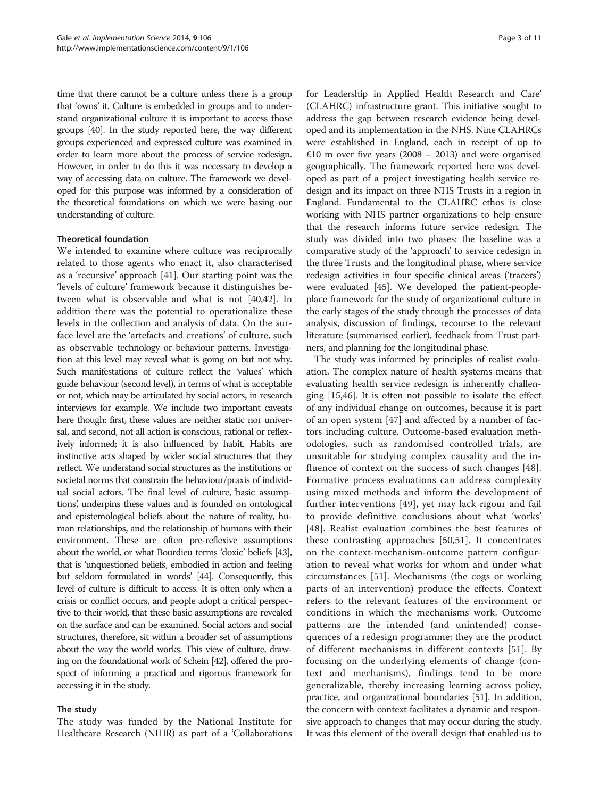<span id="page-2-0"></span>time that there cannot be a culture unless there is a group that 'owns' it. Culture is embedded in groups and to understand organizational culture it is important to access those groups [\[40](#page-9-0)]. In the study reported here, the way different groups experienced and expressed culture was examined in order to learn more about the process of service redesign. However, in order to do this it was necessary to develop a way of accessing data on culture. The framework we developed for this purpose was informed by a consideration of the theoretical foundations on which we were basing our understanding of culture.

#### Theoretical foundation

We intended to examine where culture was reciprocally related to those agents who enact it, also characterised as a 'recursive' approach [[41\]](#page-9-0). Our starting point was the 'levels of culture' framework because it distinguishes between what is observable and what is not [[40](#page-9-0),[42](#page-9-0)]. In addition there was the potential to operationalize these levels in the collection and analysis of data. On the surface level are the 'artefacts and creations' of culture, such as observable technology or behaviour patterns. Investigation at this level may reveal what is going on but not why. Such manifestations of culture reflect the 'values' which guide behaviour (second level), in terms of what is acceptable or not, which may be articulated by social actors, in research interviews for example. We include two important caveats here though: first, these values are neither static nor universal, and second, not all action is conscious, rational or reflexively informed; it is also influenced by habit. Habits are instinctive acts shaped by wider social structures that they reflect. We understand social structures as the institutions or societal norms that constrain the behaviour/praxis of individual social actors. The final level of culture, 'basic assumptions,' underpins these values and is founded on ontological and epistemological beliefs about the nature of reality, human relationships, and the relationship of humans with their environment. These are often pre-reflexive assumptions about the world, or what Bourdieu terms 'doxic' beliefs [\[43\]](#page-9-0), that is 'unquestioned beliefs, embodied in action and feeling but seldom formulated in words' [[44\]](#page-9-0). Consequently, this level of culture is difficult to access. It is often only when a crisis or conflict occurs, and people adopt a critical perspective to their world, that these basic assumptions are revealed on the surface and can be examined. Social actors and social structures, therefore, sit within a broader set of assumptions about the way the world works. This view of culture, drawing on the foundational work of Schein [\[42](#page-9-0)], offered the prospect of informing a practical and rigorous framework for accessing it in the study.

#### The study

The study was funded by the National Institute for Healthcare Research (NIHR) as part of a 'Collaborations for Leadership in Applied Health Research and Care' (CLAHRC) infrastructure grant. This initiative sought to address the gap between research evidence being developed and its implementation in the NHS. Nine CLAHRCs were established in England, each in receipt of up to £10 m over five years  $(2008 – 2013)$  and were organised geographically. The framework reported here was developed as part of a project investigating health service redesign and its impact on three NHS Trusts in a region in England. Fundamental to the CLAHRC ethos is close working with NHS partner organizations to help ensure that the research informs future service redesign. The study was divided into two phases: the baseline was a comparative study of the 'approach' to service redesign in the three Trusts and the longitudinal phase, where service redesign activities in four specific clinical areas ('tracers') were evaluated [[45\]](#page-9-0). We developed the patient-peopleplace framework for the study of organizational culture in the early stages of the study through the processes of data analysis, discussion of findings, recourse to the relevant literature (summarised earlier), feedback from Trust partners, and planning for the longitudinal phase.

The study was informed by principles of realist evaluation. The complex nature of health systems means that evaluating health service redesign is inherently challenging [[15,46\]](#page-9-0). It is often not possible to isolate the effect of any individual change on outcomes, because it is part of an open system [[47\]](#page-9-0) and affected by a number of factors including culture. Outcome-based evaluation methodologies, such as randomised controlled trials, are unsuitable for studying complex causality and the influence of context on the success of such changes [[48](#page-9-0)]. Formative process evaluations can address complexity using mixed methods and inform the development of further interventions [\[49\]](#page-9-0), yet may lack rigour and fail to provide definitive conclusions about what 'works' [[48](#page-9-0)]. Realist evaluation combines the best features of these contrasting approaches [[50](#page-9-0),[51\]](#page-9-0). It concentrates on the context-mechanism-outcome pattern configuration to reveal what works for whom and under what circumstances [[51\]](#page-9-0). Mechanisms (the cogs or working parts of an intervention) produce the effects. Context refers to the relevant features of the environment or conditions in which the mechanisms work. Outcome patterns are the intended (and unintended) consequences of a redesign programme; they are the product of different mechanisms in different contexts [\[51\]](#page-9-0). By focusing on the underlying elements of change (context and mechanisms), findings tend to be more generalizable, thereby increasing learning across policy, practice, and organizational boundaries [\[51](#page-9-0)]. In addition, the concern with context facilitates a dynamic and responsive approach to changes that may occur during the study. It was this element of the overall design that enabled us to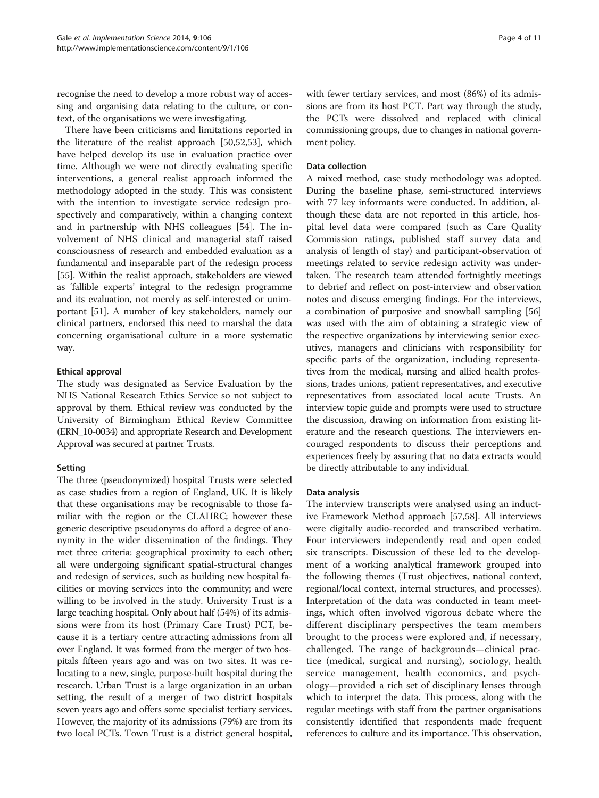recognise the need to develop a more robust way of accessing and organising data relating to the culture, or context, of the organisations we were investigating.

There have been criticisms and limitations reported in the literature of the realist approach [\[50,52,53\]](#page-9-0), which have helped develop its use in evaluation practice over time. Although we were not directly evaluating specific interventions, a general realist approach informed the methodology adopted in the study. This was consistent with the intention to investigate service redesign prospectively and comparatively, within a changing context and in partnership with NHS colleagues [\[54\]](#page-9-0). The involvement of NHS clinical and managerial staff raised consciousness of research and embedded evaluation as a fundamental and inseparable part of the redesign process [[55](#page-9-0)]. Within the realist approach, stakeholders are viewed as 'fallible experts' integral to the redesign programme and its evaluation, not merely as self-interested or unimportant [\[51\]](#page-9-0). A number of key stakeholders, namely our clinical partners, endorsed this need to marshal the data concerning organisational culture in a more systematic way.

## Ethical approval

The study was designated as Service Evaluation by the NHS National Research Ethics Service so not subject to approval by them. Ethical review was conducted by the University of Birmingham Ethical Review Committee (ERN\_10-0034) and appropriate Research and Development Approval was secured at partner Trusts.

## Setting

The three (pseudonymized) hospital Trusts were selected as case studies from a region of England, UK. It is likely that these organisations may be recognisable to those familiar with the region or the CLAHRC; however these generic descriptive pseudonyms do afford a degree of anonymity in the wider dissemination of the findings. They met three criteria: geographical proximity to each other; all were undergoing significant spatial-structural changes and redesign of services, such as building new hospital facilities or moving services into the community; and were willing to be involved in the study. University Trust is a large teaching hospital. Only about half (54%) of its admissions were from its host (Primary Care Trust) PCT, because it is a tertiary centre attracting admissions from all over England. It was formed from the merger of two hospitals fifteen years ago and was on two sites. It was relocating to a new, single, purpose-built hospital during the research. Urban Trust is a large organization in an urban setting, the result of a merger of two district hospitals seven years ago and offers some specialist tertiary services. However, the majority of its admissions (79%) are from its two local PCTs. Town Trust is a district general hospital,

# Data collection

ment policy.

A mixed method, case study methodology was adopted. During the baseline phase, semi-structured interviews with 77 key informants were conducted. In addition, although these data are not reported in this article, hospital level data were compared (such as Care Quality Commission ratings, published staff survey data and analysis of length of stay) and participant-observation of meetings related to service redesign activity was undertaken. The research team attended fortnightly meetings to debrief and reflect on post-interview and observation notes and discuss emerging findings. For the interviews, a combination of purposive and snowball sampling [[56](#page-9-0)] was used with the aim of obtaining a strategic view of the respective organizations by interviewing senior executives, managers and clinicians with responsibility for specific parts of the organization, including representatives from the medical, nursing and allied health professions, trades unions, patient representatives, and executive representatives from associated local acute Trusts. An interview topic guide and prompts were used to structure the discussion, drawing on information from existing literature and the research questions. The interviewers encouraged respondents to discuss their perceptions and experiences freely by assuring that no data extracts would be directly attributable to any individual.

## Data analysis

The interview transcripts were analysed using an inductive Framework Method approach [\[57,58](#page-9-0)]. All interviews were digitally audio-recorded and transcribed verbatim. Four interviewers independently read and open coded six transcripts. Discussion of these led to the development of a working analytical framework grouped into the following themes (Trust objectives, national context, regional/local context, internal structures, and processes). Interpretation of the data was conducted in team meetings, which often involved vigorous debate where the different disciplinary perspectives the team members brought to the process were explored and, if necessary, challenged. The range of backgrounds—clinical practice (medical, surgical and nursing), sociology, health service management, health economics, and psychology—provided a rich set of disciplinary lenses through which to interpret the data. This process, along with the regular meetings with staff from the partner organisations consistently identified that respondents made frequent references to culture and its importance. This observation,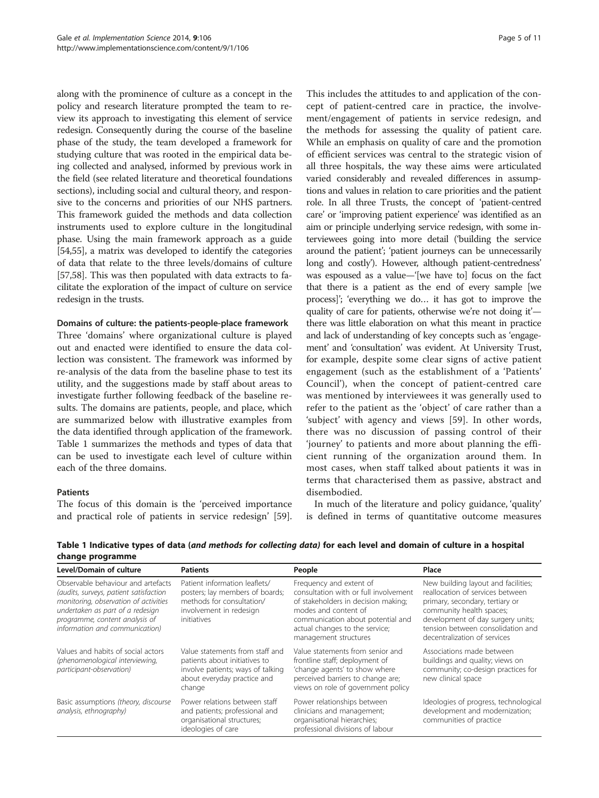<span id="page-4-0"></span>along with the prominence of culture as a concept in the policy and research literature prompted the team to review its approach to investigating this element of service redesign. Consequently during the course of the baseline phase of the study, the team developed a framework for studying culture that was rooted in the empirical data being collected and analysed, informed by previous work in the field (see [related literature](#page-1-0) and [theoretical foundations](#page-2-0) sections), including social and cultural theory, and responsive to the concerns and priorities of our NHS partners. This framework guided the methods and data collection instruments used to explore culture in the longitudinal phase. Using the main framework approach as a guide [[54,55](#page-9-0)], a matrix was developed to identify the categories of data that relate to the three levels/domains of culture [[57,58](#page-9-0)]. This was then populated with data extracts to facilitate the exploration of the impact of culture on service redesign in the trusts.

#### Domains of culture: the patients-people-place framework

Three 'domains' where organizational culture is played out and enacted were identified to ensure the data collection was consistent. The framework was informed by re-analysis of the data from the baseline phase to test its utility, and the suggestions made by staff about areas to investigate further following feedback of the baseline results. The domains are patients, people, and place, which are summarized below with illustrative examples from the data identified through application of the framework. Table 1 summarizes the methods and types of data that can be used to investigate each level of culture within each of the three domains.

#### Patients

The focus of this domain is the 'perceived importance and practical role of patients in service redesign' [\[59](#page-9-0)].

This includes the attitudes to and application of the concept of patient-centred care in practice, the involvement/engagement of patients in service redesign, and the methods for assessing the quality of patient care. While an emphasis on quality of care and the promotion of efficient services was central to the strategic vision of all three hospitals, the way these aims were articulated varied considerably and revealed differences in assumptions and values in relation to care priorities and the patient role. In all three Trusts, the concept of 'patient-centred care' or 'improving patient experience' was identified as an aim or principle underlying service redesign, with some interviewees going into more detail ('building the service around the patient'; 'patient journeys can be unnecessarily long and costly'). However, although patient-centredness' was espoused as a value—'[we have to] focus on the fact that there is a patient as the end of every sample [we process]'; 'everything we do… it has got to improve the quality of care for patients, otherwise we're not doing it' there was little elaboration on what this meant in practice and lack of understanding of key concepts such as 'engagement' and 'consultation' was evident. At University Trust, for example, despite some clear signs of active patient engagement (such as the establishment of a 'Patients' Council'), when the concept of patient-centred care was mentioned by interviewees it was generally used to refer to the patient as the 'object' of care rather than a 'subject' with agency and views [[59](#page-9-0)]. In other words, there was no discussion of passing control of their 'journey' to patients and more about planning the efficient running of the organization around them. In most cases, when staff talked about patients it was in terms that characterised them as passive, abstract and disembodied.

In much of the literature and policy guidance, 'quality' is defined in terms of quantitative outcome measures

Table 1 Indicative types of data (and methods for collecting data) for each level and domain of culture in a hospital change programme

| Level/Domain of culture                                                                                                                                                                                                       | <b>Patients</b>                                                                                                                                | People                                                                                                                                                                                                                          | Place                                                                                                                                                                                                                                            |
|-------------------------------------------------------------------------------------------------------------------------------------------------------------------------------------------------------------------------------|------------------------------------------------------------------------------------------------------------------------------------------------|---------------------------------------------------------------------------------------------------------------------------------------------------------------------------------------------------------------------------------|--------------------------------------------------------------------------------------------------------------------------------------------------------------------------------------------------------------------------------------------------|
| Observable behaviour and artefacts<br>(audits, surveys, patient satisfaction<br>monitoring, observation of activities<br>undertaken as part of a redesign<br>programme, content analysis of<br>information and communication) | Patient information leaflets/<br>posters; lay members of boards;<br>methods for consultation/<br>involvement in redesign<br>initiatives        | Frequency and extent of<br>consultation with or full involvement<br>of stakeholders in decision making;<br>modes and content of<br>communication about potential and<br>actual changes to the service;<br>management structures | New building layout and facilities;<br>reallocation of services between<br>primary, secondary, tertiary or<br>community health spaces;<br>development of day surgery units;<br>tension between consolidation and<br>decentralization of services |
| Values and habits of social actors<br>(phenomenological interviewing,<br>participant-observation)                                                                                                                             | Value statements from staff and<br>patients about initiatives to<br>involve patients; ways of talking<br>about everyday practice and<br>change | Value statements from senior and<br>frontline staff; deployment of<br>'change agents' to show where<br>perceived barriers to change are;<br>views on role of government policy                                                  | Associations made between<br>buildings and quality; views on<br>community; co-design practices for<br>new clinical space                                                                                                                         |
| Basic assumptions (theory, discourse<br>analysis, ethnography)                                                                                                                                                                | Power relations between staff<br>and patients; professional and<br>organisational structures;<br>ideologies of care                            | Power relationships between<br>clinicians and management;<br>organisational hierarchies;<br>professional divisions of labour                                                                                                    | Ideologies of progress, technological<br>development and modernization;<br>communities of practice                                                                                                                                               |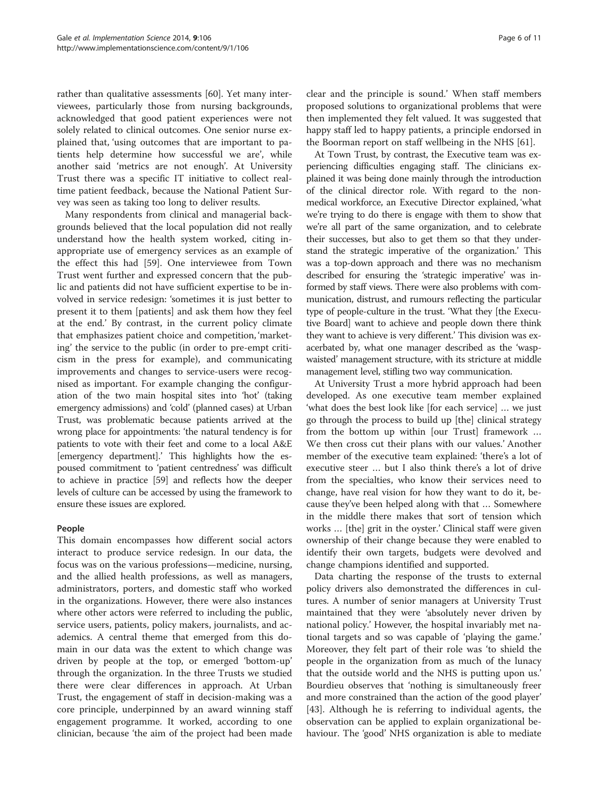rather than qualitative assessments [\[60\]](#page-9-0). Yet many interviewees, particularly those from nursing backgrounds, acknowledged that good patient experiences were not solely related to clinical outcomes. One senior nurse explained that, 'using outcomes that are important to patients help determine how successful we are', while another said 'metrics are not enough'. At University Trust there was a specific IT initiative to collect realtime patient feedback, because the National Patient Survey was seen as taking too long to deliver results.

Many respondents from clinical and managerial backgrounds believed that the local population did not really understand how the health system worked, citing inappropriate use of emergency services as an example of the effect this had [\[59\]](#page-9-0). One interviewee from Town Trust went further and expressed concern that the public and patients did not have sufficient expertise to be involved in service redesign: 'sometimes it is just better to present it to them [patients] and ask them how they feel at the end.' By contrast, in the current policy climate that emphasizes patient choice and competition, 'marketing' the service to the public (in order to pre-empt criticism in the press for example), and communicating improvements and changes to service-users were recognised as important. For example changing the configuration of the two main hospital sites into 'hot' (taking emergency admissions) and 'cold' (planned cases) at Urban Trust, was problematic because patients arrived at the wrong place for appointments: 'the natural tendency is for patients to vote with their feet and come to a local A&E [emergency department].' This highlights how the espoused commitment to 'patient centredness' was difficult to achieve in practice [\[59](#page-9-0)] and reflects how the deeper levels of culture can be accessed by using the framework to ensure these issues are explored.

## People

This domain encompasses how different social actors interact to produce service redesign. In our data, the focus was on the various professions—medicine, nursing, and the allied health professions, as well as managers, administrators, porters, and domestic staff who worked in the organizations. However, there were also instances where other actors were referred to including the public, service users, patients, policy makers, journalists, and academics. A central theme that emerged from this domain in our data was the extent to which change was driven by people at the top, or emerged 'bottom-up' through the organization. In the three Trusts we studied there were clear differences in approach. At Urban Trust, the engagement of staff in decision-making was a core principle, underpinned by an award winning staff engagement programme. It worked, according to one clinician, because 'the aim of the project had been made clear and the principle is sound.' When staff members proposed solutions to organizational problems that were then implemented they felt valued. It was suggested that happy staff led to happy patients, a principle endorsed in the Boorman report on staff wellbeing in the NHS [\[61](#page-9-0)].

At Town Trust, by contrast, the Executive team was experiencing difficulties engaging staff. The clinicians explained it was being done mainly through the introduction of the clinical director role. With regard to the nonmedical workforce, an Executive Director explained, 'what we're trying to do there is engage with them to show that we're all part of the same organization, and to celebrate their successes, but also to get them so that they understand the strategic imperative of the organization.' This was a top-down approach and there was no mechanism described for ensuring the 'strategic imperative' was informed by staff views. There were also problems with communication, distrust, and rumours reflecting the particular type of people-culture in the trust. 'What they [the Executive Board] want to achieve and people down there think they want to achieve is very different.' This division was exacerbated by, what one manager described as the 'waspwaisted' management structure, with its stricture at middle management level, stifling two way communication.

At University Trust a more hybrid approach had been developed. As one executive team member explained 'what does the best look like [for each service] … we just go through the process to build up [the] clinical strategy from the bottom up within [our Trust] framework … We then cross cut their plans with our values.' Another member of the executive team explained: 'there's a lot of executive steer … but I also think there's a lot of drive from the specialties, who know their services need to change, have real vision for how they want to do it, because they've been helped along with that … Somewhere in the middle there makes that sort of tension which works … [the] grit in the oyster.' Clinical staff were given ownership of their change because they were enabled to identify their own targets, budgets were devolved and change champions identified and supported.

Data charting the response of the trusts to external policy drivers also demonstrated the differences in cultures. A number of senior managers at University Trust maintained that they were 'absolutely never driven by national policy.' However, the hospital invariably met national targets and so was capable of 'playing the game.' Moreover, they felt part of their role was 'to shield the people in the organization from as much of the lunacy that the outside world and the NHS is putting upon us.' Bourdieu observes that 'nothing is simultaneously freer and more constrained than the action of the good player' [[43\]](#page-9-0). Although he is referring to individual agents, the observation can be applied to explain organizational behaviour. The 'good' NHS organization is able to mediate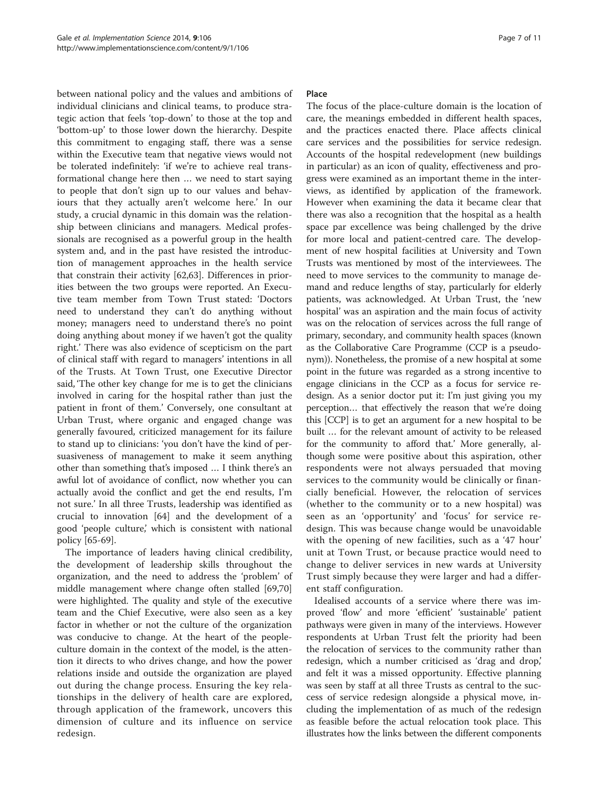between national policy and the values and ambitions of individual clinicians and clinical teams, to produce strategic action that feels 'top-down' to those at the top and 'bottom-up' to those lower down the hierarchy. Despite this commitment to engaging staff, there was a sense within the Executive team that negative views would not be tolerated indefinitely: 'if we're to achieve real transformational change here then … we need to start saying to people that don't sign up to our values and behaviours that they actually aren't welcome here.' In our study, a crucial dynamic in this domain was the relationship between clinicians and managers. Medical professionals are recognised as a powerful group in the health system and, and in the past have resisted the introduction of management approaches in the health service that constrain their activity [[62,63\]](#page-10-0). Differences in priorities between the two groups were reported. An Executive team member from Town Trust stated: 'Doctors need to understand they can't do anything without money; managers need to understand there's no point doing anything about money if we haven't got the quality right.' There was also evidence of scepticism on the part of clinical staff with regard to managers' intentions in all of the Trusts. At Town Trust, one Executive Director said, 'The other key change for me is to get the clinicians involved in caring for the hospital rather than just the patient in front of them.' Conversely, one consultant at Urban Trust, where organic and engaged change was generally favoured, criticized management for its failure to stand up to clinicians: 'you don't have the kind of persuasiveness of management to make it seem anything other than something that's imposed … I think there's an awful lot of avoidance of conflict, now whether you can actually avoid the conflict and get the end results, I'm not sure.' In all three Trusts, leadership was identified as crucial to innovation [\[64\]](#page-10-0) and the development of a good 'people culture,' which is consistent with national policy [\[65-69](#page-10-0)].

The importance of leaders having clinical credibility, the development of leadership skills throughout the organization, and the need to address the 'problem' of middle management where change often stalled [[69](#page-10-0),[70](#page-10-0)] were highlighted. The quality and style of the executive team and the Chief Executive, were also seen as a key factor in whether or not the culture of the organization was conducive to change. At the heart of the peopleculture domain in the context of the model, is the attention it directs to who drives change, and how the power relations inside and outside the organization are played out during the change process. Ensuring the key relationships in the delivery of health care are explored, through application of the framework, uncovers this dimension of culture and its influence on service redesign.

#### **Place**

The focus of the place-culture domain is the location of care, the meanings embedded in different health spaces, and the practices enacted there. Place affects clinical care services and the possibilities for service redesign. Accounts of the hospital redevelopment (new buildings in particular) as an icon of quality, effectiveness and progress were examined as an important theme in the interviews, as identified by application of the framework. However when examining the data it became clear that there was also a recognition that the hospital as a health space par excellence was being challenged by the drive for more local and patient-centred care. The development of new hospital facilities at University and Town Trusts was mentioned by most of the interviewees. The need to move services to the community to manage demand and reduce lengths of stay, particularly for elderly patients, was acknowledged. At Urban Trust, the 'new hospital' was an aspiration and the main focus of activity was on the relocation of services across the full range of primary, secondary, and community health spaces (known as the Collaborative Care Programme (CCP is a pseudonym)). Nonetheless, the promise of a new hospital at some point in the future was regarded as a strong incentive to engage clinicians in the CCP as a focus for service redesign. As a senior doctor put it: I'm just giving you my perception… that effectively the reason that we're doing this [CCP] is to get an argument for a new hospital to be built … for the relevant amount of activity to be released for the community to afford that.' More generally, although some were positive about this aspiration, other respondents were not always persuaded that moving services to the community would be clinically or financially beneficial. However, the relocation of services (whether to the community or to a new hospital) was seen as an 'opportunity' and 'focus' for service redesign. This was because change would be unavoidable with the opening of new facilities, such as a '47 hour' unit at Town Trust, or because practice would need to change to deliver services in new wards at University Trust simply because they were larger and had a different staff configuration.

Idealised accounts of a service where there was improved 'flow' and more 'efficient' 'sustainable' patient pathways were given in many of the interviews. However respondents at Urban Trust felt the priority had been the relocation of services to the community rather than redesign, which a number criticised as 'drag and drop,' and felt it was a missed opportunity. Effective planning was seen by staff at all three Trusts as central to the success of service redesign alongside a physical move, including the implementation of as much of the redesign as feasible before the actual relocation took place. This illustrates how the links between the different components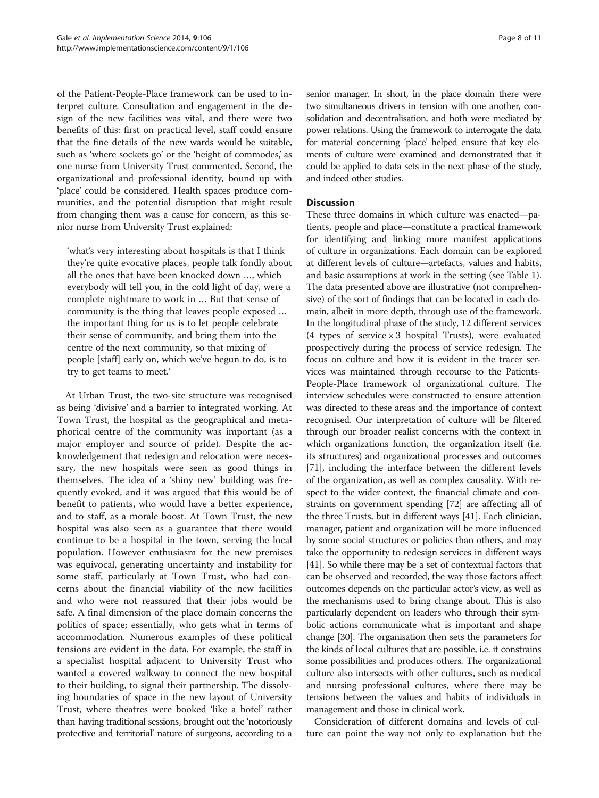of the Patient-People-Place framework can be used to interpret culture. Consultation and engagement in the design of the new facilities was vital, and there were two benefits of this: first on practical level, staff could ensure that the fine details of the new wards would be suitable, such as 'where sockets go' or the 'height of commodes' as one nurse from University Trust commented. Second, the organizational and professional identity, bound up with 'place' could be considered. Health spaces produce communities, and the potential disruption that might result from changing them was a cause for concern, as this senior nurse from University Trust explained:

'what's very interesting about hospitals is that I think they're quite evocative places, people talk fondly about all the ones that have been knocked down …, which everybody will tell you, in the cold light of day, were a complete nightmare to work in … But that sense of community is the thing that leaves people exposed … the important thing for us is to let people celebrate their sense of community, and bring them into the centre of the next community, so that mixing of people [staff] early on, which we've begun to do, is to try to get teams to meet.'

At Urban Trust, the two-site structure was recognised as being 'divisive' and a barrier to integrated working. At Town Trust, the hospital as the geographical and metaphorical centre of the community was important (as a major employer and source of pride). Despite the acknowledgement that redesign and relocation were necessary, the new hospitals were seen as good things in themselves. The idea of a 'shiny new' building was frequently evoked, and it was argued that this would be of benefit to patients, who would have a better experience, and to staff, as a morale boost. At Town Trust, the new hospital was also seen as a guarantee that there would continue to be a hospital in the town, serving the local population. However enthusiasm for the new premises was equivocal, generating uncertainty and instability for some staff, particularly at Town Trust, who had concerns about the financial viability of the new facilities and who were not reassured that their jobs would be safe. A final dimension of the place domain concerns the politics of space; essentially, who gets what in terms of accommodation. Numerous examples of these political tensions are evident in the data. For example, the staff in a specialist hospital adjacent to University Trust who wanted a covered walkway to connect the new hospital to their building, to signal their partnership. The dissolving boundaries of space in the new layout of University Trust, where theatres were booked 'like a hotel' rather than having traditional sessions, brought out the 'notoriously protective and territorial' nature of surgeons, according to a

senior manager. In short, in the place domain there were two simultaneous drivers in tension with one another, consolidation and decentralisation, and both were mediated by power relations. Using the framework to interrogate the data for material concerning 'place' helped ensure that key elements of culture were examined and demonstrated that it could be applied to data sets in the next phase of the study, and indeed other studies.

# Discussion

These three domains in which culture was enacted—patients, people and place—constitute a practical framework for identifying and linking more manifest applications of culture in organizations. Each domain can be explored at different levels of culture—artefacts, values and habits, and basic assumptions at work in the setting (see Table [1](#page-4-0)). The data presented above are illustrative (not comprehensive) of the sort of findings that can be located in each domain, albeit in more depth, through use of the framework. In the longitudinal phase of the study, 12 different services (4 types of service  $\times$  3 hospital Trusts), were evaluated prospectively during the process of service redesign. The focus on culture and how it is evident in the tracer services was maintained through recourse to the Patients-People-Place framework of organizational culture. The interview schedules were constructed to ensure attention was directed to these areas and the importance of context recognised. Our interpretation of culture will be filtered through our broader realist concerns with the context in which organizations function, the organization itself (i.e. its structures) and organizational processes and outcomes [[71](#page-10-0)], including the interface between the different levels of the organization, as well as complex causality. With respect to the wider context, the financial climate and constraints on government spending [\[72\]](#page-10-0) are affecting all of the three Trusts, but in different ways [\[41\]](#page-9-0). Each clinician, manager, patient and organization will be more influenced by some social structures or policies than others, and may take the opportunity to redesign services in different ways [[41](#page-9-0)]. So while there may be a set of contextual factors that can be observed and recorded, the way those factors affect outcomes depends on the particular actor's view, as well as the mechanisms used to bring change about. This is also particularly dependent on leaders who through their symbolic actions communicate what is important and shape change [[30](#page-9-0)]. The organisation then sets the parameters for the kinds of local cultures that are possible, i.e. it constrains some possibilities and produces others. The organizational culture also intersects with other cultures, such as medical and nursing professional cultures, where there may be tensions between the values and habits of individuals in management and those in clinical work.

Consideration of different domains and levels of culture can point the way not only to explanation but the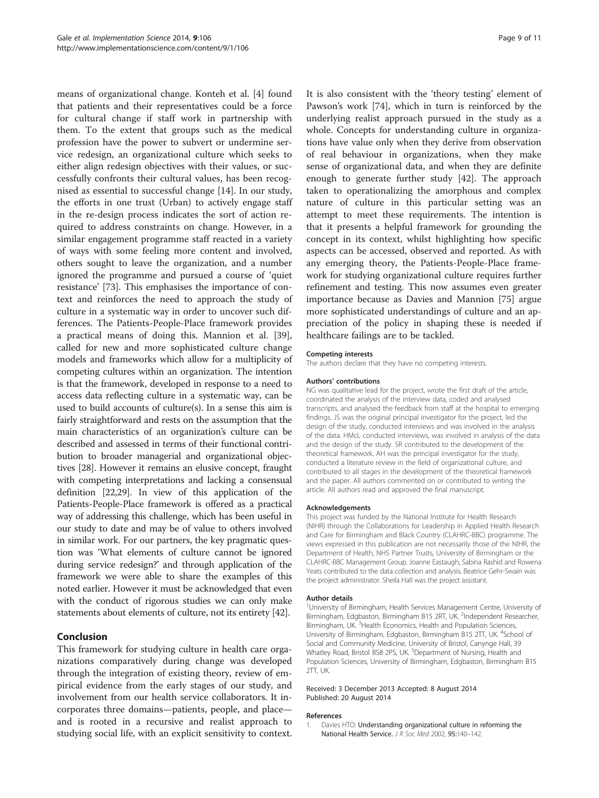<span id="page-8-0"></span>means of organizational change. Konteh et al. [[4\]](#page-9-0) found that patients and their representatives could be a force for cultural change if staff work in partnership with them. To the extent that groups such as the medical profession have the power to subvert or undermine service redesign, an organizational culture which seeks to either align redesign objectives with their values, or successfully confronts their cultural values, has been recognised as essential to successful change [[14](#page-9-0)]. In our study, the efforts in one trust (Urban) to actively engage staff in the re-design process indicates the sort of action required to address constraints on change. However, in a similar engagement programme staff reacted in a variety of ways with some feeling more content and involved, others sought to leave the organization, and a number ignored the programme and pursued a course of 'quiet resistance' [\[73\]](#page-10-0). This emphasises the importance of context and reinforces the need to approach the study of culture in a systematic way in order to uncover such differences. The Patients-People-Place framework provides a practical means of doing this. Mannion et al. [\[39](#page-9-0)], called for new and more sophisticated culture change models and frameworks which allow for a multiplicity of competing cultures within an organization. The intention is that the framework, developed in response to a need to access data reflecting culture in a systematic way, can be used to build accounts of culture(s). In a sense this aim is fairly straightforward and rests on the assumption that the main characteristics of an organization's culture can be described and assessed in terms of their functional contribution to broader managerial and organizational objectives [[28\]](#page-9-0). However it remains an elusive concept, fraught with competing interpretations and lacking a consensual definition [[22,29](#page-9-0)]. In view of this application of the Patients-People-Place framework is offered as a practical way of addressing this challenge, which has been useful in our study to date and may be of value to others involved in similar work. For our partners, the key pragmatic question was 'What elements of culture cannot be ignored during service redesign?' and through application of the framework we were able to share the examples of this noted earlier. However it must be acknowledged that even with the conduct of rigorous studies we can only make statements about elements of culture, not its entirety [[42](#page-9-0)].

#### Conclusion

This framework for studying culture in health care organizations comparatively during change was developed through the integration of existing theory, review of empirical evidence from the early stages of our study, and involvement from our health service collaborators. It incorporates three domains—patients, people, and place and is rooted in a recursive and realist approach to studying social life, with an explicit sensitivity to context.

It is also consistent with the 'theory testing' element of Pawson's work [\[74\]](#page-10-0), which in turn is reinforced by the underlying realist approach pursued in the study as a whole. Concepts for understanding culture in organizations have value only when they derive from observation of real behaviour in organizations, when they make sense of organizational data, and when they are definite enough to generate further study [[42](#page-9-0)]. The approach taken to operationalizing the amorphous and complex nature of culture in this particular setting was an attempt to meet these requirements. The intention is that it presents a helpful framework for grounding the concept in its context, whilst highlighting how specific aspects can be accessed, observed and reported. As with any emerging theory, the Patients-People-Place framework for studying organizational culture requires further refinement and testing. This now assumes even greater importance because as Davies and Mannion [[75\]](#page-10-0) argue more sophisticated understandings of culture and an appreciation of the policy in shaping these is needed if healthcare failings are to be tackled.

#### Competing interests

The authors declare that they have no competing interests.

#### Authors' contributions

NG was qualitative lead for the project, wrote the first draft of the article, coordinated the analysis of the interview data, coded and analysed transcripts, and analysed the feedback from staff at the hospital to emerging findings. JS was the original principal investigator for the project, led the design of the study, conducted interviews and was involved in the analysis of the data. HMcL conducted interviews, was involved in analysis of the data and the design of the study. SR contributed to the development of the theoretical framework. AH was the principal investigator for the study, conducted a literature review in the field of organizational culture, and contributed to all stages in the development of the theoretical framework and the paper. All authors commented on or contributed to writing the article. All authors read and approved the final manuscript.

#### Acknowledgements

This project was funded by the National Institute for Health Research (NIHR) through the Collaborations for Leadership in Applied Health Research and Care for Birmingham and Black Country (CLAHRC-BBC) programme. The views expressed in this publication are not necessarily those of the NIHR, the Department of Health, NHS Partner Trusts, University of Birmingham or the CLAHRC-BBC Management Group. Joanne Eastaugh, Sabina Rashid and Rowena Yeats contributed to the data collection and analysis. Beatrice Gehr-Swain was the project administrator. Sheila Hall was the project assistant.

#### Author details

<sup>1</sup>University of Birmingham, Health Services Management Centre, University of Birmingham, Edgbaston, Birmingham B15 2RT, UK. <sup>2</sup>Independent Researcher Birmingham, UK.<sup>3</sup> Health Economics, Health and Population Sciences, University of Birmingham, Edgbaston, Birmingham B15 2TT, UK. <sup>4</sup>School of Social and Community Medicine, University of Bristol, Canynge Hall, 39 Whatley Road, Bristol BS8 2PS, UK.<sup>5</sup> Department of Nursing, Health and Population Sciences, University of Birmingham, Edgbaston, Birmingham B15 2TT, UK.

#### Received: 3 December 2013 Accepted: 8 August 2014 Published: 20 August 2014

#### References

1. Davies HTO: Understanding organizational culture in reforming the National Health Service. J R Soc Med 2002, 95:140–142.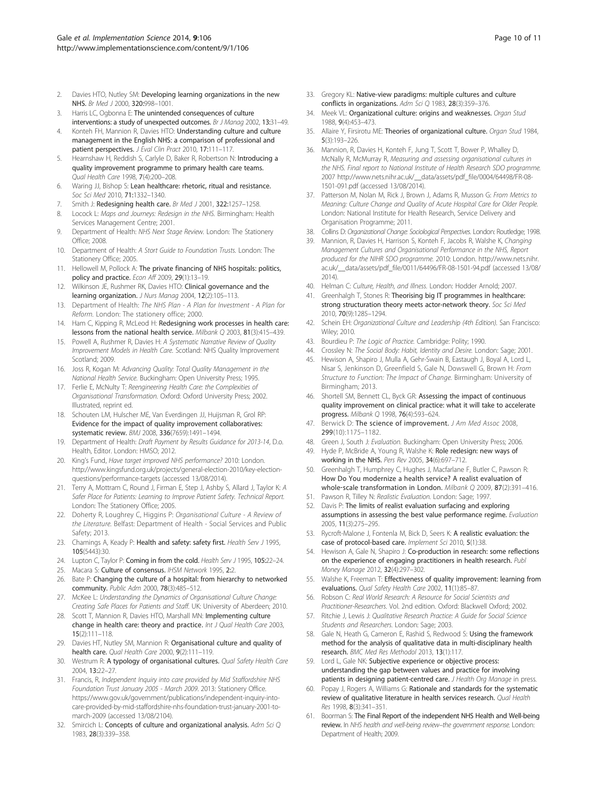- <span id="page-9-0"></span>2. Davies HTO, Nutley SM: Developing learning organizations in the new NHS. Br Med J 2000, 320:998–1001.
- 3. Harris LC, Ogbonna E: The unintended consequences of culture interventions: a study of unexpected outcomes. Br J Manag 2002, 13:31–49.
- 4. Konteh FH, Mannion R, Davies HTO: Understanding culture and culture management in the English NHS: a comparison of professional and patient perspectives. J Eval Clin Pract 2010, 17:111-117.
- 5. Hearnshaw H, Reddish S, Carlyle D, Baker R, Robertson N: Introducing a quality improvement programme to primary health care teams. Qual Health Care 1998, 7(4):200–208.
- 6. Waring JJ, Bishop S: Lean healthcare: rhetoric, ritual and resistance. Soc Sci Med 2010, 71:1332–1340.
- Smith J: Redesigning health care. Br Med J 2001, 322:1257-1258.
- 8. Locock L: Maps and Journeys: Redesign in the NHS. Birmingham: Health Services Management Centre; 2001.
- 9. Department of Health: NHS Next Stage Review. London: The Stationery Office; 2008.
- 10. Department of Health: A Stort Guide to Foundation Trusts. London: The Stationery Office; 2005.
- 11. Hellowell M, Pollock A: The private financing of NHS hospitals: politics, policy and practice. Econ Aff 2009, 29(1):13–19.
- 12. Wilkinson JE, Rushmer RK, Davies HTO: Clinical governance and the learning organization. J Nurs Manag 2004, 12(2):105-113.
- 13. Department of Health: The NHS Plan A Plan for Investment A Plan for Reform. London: The stationery office; 2000.
- Ham C, Kipping R, McLeod H: Redesigning work processes in health care: lessons from the national health service. Milbank Q 2003, 81(3):415–439.
- 15. Powell A, Rushmer R, Davies H: A Systematic Narrative Review of Quality Improvement Models in Health Care. Scotland: NHS Quality Improvement Scotland; 2009.
- 16. Joss R, Kogan M: Advancing Quality: Total Quality Management in the National Health Service. Buckingham: Open University Press; 1995.
- 17. Ferlie E, McNulty T: Reengineering Health Care: the Complexities of Organisational Transformation. Oxford: Oxford University Press; 2002. Illustrated, reprint ed.
- 18. Schouten LM, Hulscher ME, Van Everdingen JJ, Huijsman R, Grol RP: Evidence for the impact of quality improvement collaboratives: systematic review. BMJ 2008, 336(7659):1491–1494.
- 19. Department of Health: Draft Payment by Results Guidance for 2013-14, D.o. Health, Editor. London: HMSO; 2012.
- 20. King's Fund, Have target improved NHS performance? 2010: London. [http://www.kingsfund.org.uk/projects/general-election-2010/key-election](http://www.kingsfund.org.uk/projects/general-election-2010/key-election-questions/performance-targets)[questions/performance-targets](http://www.kingsfund.org.uk/projects/general-election-2010/key-election-questions/performance-targets) (accessed 13/08/2014).
- 21. Terry A, Mottram C, Round J, Firman E, Step J, Ashby S, Allard J, Taylor K: A Safer Place for Patients: Learning to Improve Patient Safety. Technical Report. London: The Stationery Office; 2005.
- 22. Doherty R, Loughrey C, Higgins P: Organisational Culture A Review of the Literature. Belfast: Department of Health - Social Services and Public Safety; 2013.
- 23. Chamings A, Keady P: Health and safety: safety first. Health Serv J 1995, 105(5443):30.
- 24. Lupton C, Taylor P: Coming in from the cold. Health Serv J 1995, 105:22-24.
- 25. Macara S: Culture of consensus. IHSM Network 1995, 2:2.
- 26. Bate P: Changing the culture of a hospital: from hierarchy to networked community. Public Adm 2000, 78(3):485–512.
- 27. McKee L: Understanding the Dynamics of Organisational Culture Change: Creating Safe Places for Patients and Staff. UK: University of Aberdeen; 2010.
- 28. Scott T, Mannion R, Davies HTO, Marshall MN: Implementing culture change in health care: theory and practice. Int J Qual Health Care 2003, 15(2):111–118.
- 29. Davies HT, Nutley SM, Mannion R: Organisational culture and quality of health care. Qual Health Care 2000, 9(2):111–119.
- 30. Westrum R: A typology of organisational cultures. Qual Safety Health Care 2004, 13:22–27.
- 31. Francis, R, Independent Inquiry into care provided by Mid Staffordshire NHS Foundation Trust January 2005 - March 2009. 2013: Stationery Office. [https://www.gov.uk/government/publications/independent-inquiry-into](https://www.gov.uk/government/publications/independent-inquiry-into-care-provided-by-mid-staffordshire-nhs-foundation-trust-january-2001-to-march-2009)[care-provided-by-mid-staffordshire-nhs-foundation-trust-january-2001-to](https://www.gov.uk/government/publications/independent-inquiry-into-care-provided-by-mid-staffordshire-nhs-foundation-trust-january-2001-to-march-2009)[march-2009](https://www.gov.uk/government/publications/independent-inquiry-into-care-provided-by-mid-staffordshire-nhs-foundation-trust-january-2001-to-march-2009) (accessed 13/08/2104).
- 32. Smircich L: Concepts of culture and organizational analysis. Adm Sci Q 1983, 28(3):339–358.
- 33. Gregory KL: Native-view paradigms: multiple cultures and culture conflicts in organizations. Adm Sci Q 1983, 28(3):359–376.
- 34. Meek VL: Organizational culture: origins and weaknesses. Organ Stud 1988, 9(4):453–473.
- 35. Allaire Y, Firsirotu ME: Theories of organizational culture. Organ Stud 1984, 5(3):193–226.
- 36. Mannion, R, Davies H, Konteh F, Jung T, Scott T, Bower P, Whalley D, McNally R, McMurray R, Measuring and assessing organisational cultures in the NHS. Final report to National Institute of Health Research SDO programme. 2007 [http://www.nets.nihr.ac.uk/\\_\\_data/assets/pdf\\_file/0004/64498/FR-08-](http://www.nets.nihr.ac.uk/__data/assets/pdf_file/0004/64498/FR-08-1501-091.pdf) [1501-091.pdf](http://www.nets.nihr.ac.uk/__data/assets/pdf_file/0004/64498/FR-08-1501-091.pdf) (accessed 13/08/2014).
- 37. Patterson M, Nolan M, Rick J, Brown J, Adams R, Musson G: From Metrics to Meaning: Culture Change and Quality of Acute Hospital Care for Older People. London: National Institute for Health Research, Service Delivery and Organisation Programme; 2011.
- 38. Collins D: Organizational Change: Sociological Perspectives. London: Routledge; 1998.
- 39. Mannion, R, Davies H, Harrison S, Konteh F, Jacobs R, Walshe K, Changing Management Cultures and Organisational Performance in the NHS, Report produced for the NIHR SDO programme. 2010: London. [http://www.nets.nihr.](http://www.nets.nihr.ac.uk/__data/assets/pdf_file/0011/64496/FR-08-1501-94.pdf) [ac.uk/\\_\\_data/assets/pdf\\_file/0011/64496/FR-08-1501-94.pdf](http://www.nets.nihr.ac.uk/__data/assets/pdf_file/0011/64496/FR-08-1501-94.pdf) (accessed 13/08/ 2014).
- 40. Helman C: Culture, Health, and Illness. London: Hodder Arnold; 2007.
- 41. Greenhalgh T, Stones R: Theorising big IT programmes in healthcare: strong structuration theory meets actor-network theory. Soc Sci Med 2010, 70(9):1285–1294.
- 42. Schein EH: Organizational Culture and Leadership (4th Edition). San Francisco: Wiley; 2010.
- 43. Bourdieu P: The Logic of Practice. Cambridge: Polity; 1990.
- 44. Crossley N: The Social Body: Habit, Identity and Desire. London: Sage; 2001.
- 45. Hewison A, Shapiro J, Mulla A, Gehr-Swain B, Eastaugh J, Boyal A, Lord L, Nisar S, Jenkinson D, Greenfield S, Gale N, Dowswell G, Brown H: From Structure to Function: The Impact of Change. Birmingham: University of Birmingham; 2013.
- 46. Shortell SM, Bennett CL, Byck GR: Assessing the impact of continuous quality improvement on clinical practice: what it will take to accelerate progress. Milbank Q 1998, 76(4):593–624.
- 47. Berwick D: The science of improvement. J Am Med Assoc 2008, 299(10):1175–1182.
- 48. Green J, South J: Evaluation. Buckingham: Open University Press; 2006.
- 49. Hyde P, McBride A, Young R, Walshe K: Role redesign: new ways of working in the NHS. Pers Rev 2005, 34(6):697–712.
- 50. Greenhalgh T, Humphrey C, Hughes J, Macfarlane F, Butler C, Pawson R: How Do You modernize a health service? A realist evaluation of whole-scale transformation in London. Milbank Q 2009, 87(2):391-416.
- 51. Pawson R, Tilley N: Realistic Evaluation. London: Sage; 1997.
- 52. Davis P: The limits of realist evaluation surfacing and exploring assumptions in assessing the best value performance regime. Evaluation 2005, 11(3):275–295.
- 53. Rycroft-Malone J, Fontenla M, Bick D, Seers K: A realistic evaluation: the case of protocol-based care. Implement Sci 2010, 5(1):38.
- 54. Hewison A, Gale N, Shapiro J: Co-production in research: some reflections on the experience of engaging practitioners in health research. Publ Money Manage 2012, 32(4):297–302.
- 55. Walshe K, Freeman T: Effectiveness of quality improvement: learning from evaluations. Qual Safety Health Care 2002, 11(1):85–87.
- 56. Robson C: Real World Research: A Resource for Social Scientists and Practitioner-Researchers. Vol. 2nd edition. Oxford: Blackwell Oxford; 2002.
- 57. Ritchie J, Lewis J: Qualitative Research Practice: A Guide for Social Science Students and Researchers. London: Sage; 2003.
- 58. Gale N, Heath G, Cameron E, Rashid S, Redwood S: Using the framework method for the analysis of qualitative data in multi-disciplinary health research. BMC Med Res Methodol 2013, 13(1):117.
- 59. Lord L, Gale NK: Subjective experience or objective process: understanding the gap between values and practice for involving patients in designing patient-centred care. J Health Org Manage in press.
- 60. Popay J, Rogers A, Williams G: Rationale and standards for the systematic review of qualitative literature in health services research. Qual Health Res 1998, 8(3):341–351.
- 61. Boorman S: The Final Report of the independent NHS Health and Well-being review. In NHS health and well-being review-the government response. London: Department of Health; 2009.